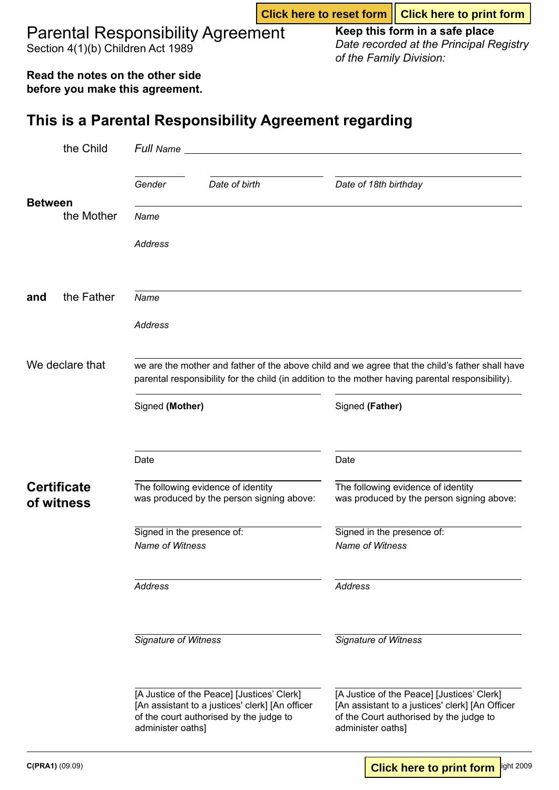# Parental Responsibility Agreement

Section 4(1)(b) Children Act 1989

**Keep this form in a safe place** *Date recorded at the Principal Registry of the Family Division:*

**Read the notes on the other side before you make this agreement.**

### **This is a Parental Responsibility Agreement regarding**

| the Child                        | Full Name                                                                                                                                                                                            |               |                                                                                                                                                               |
|----------------------------------|------------------------------------------------------------------------------------------------------------------------------------------------------------------------------------------------------|---------------|---------------------------------------------------------------------------------------------------------------------------------------------------------------|
|                                  | Gender                                                                                                                                                                                               | Date of birth | Date of 18th birthday                                                                                                                                         |
| <b>Between</b><br>the Mother     | Name                                                                                                                                                                                                 |               |                                                                                                                                                               |
|                                  | <b>Address</b>                                                                                                                                                                                       |               |                                                                                                                                                               |
| the Father<br>and                | Name                                                                                                                                                                                                 |               |                                                                                                                                                               |
|                                  | <b>Address</b>                                                                                                                                                                                       |               |                                                                                                                                                               |
| We declare that                  | we are the mother and father of the above child and we agree that the child's father shall have<br>parental responsibility for the child (in addition to the mother having parental responsibility). |               |                                                                                                                                                               |
|                                  | Signed (Mother)                                                                                                                                                                                      |               | Signed (Father)                                                                                                                                               |
|                                  |                                                                                                                                                                                                      |               |                                                                                                                                                               |
|                                  | Date                                                                                                                                                                                                 |               | Date                                                                                                                                                          |
| <b>Certificate</b><br>of witness | The following evidence of identity<br>was produced by the person signing above:                                                                                                                      |               | The following evidence of identity<br>was produced by the person signing above:                                                                               |
|                                  | Signed in the presence of:                                                                                                                                                                           |               | Signed in the presence of:                                                                                                                                    |
|                                  | Name of Witness                                                                                                                                                                                      |               | <b>Name of Witness</b>                                                                                                                                        |
|                                  | <b>Address</b>                                                                                                                                                                                       |               | <b>Address</b>                                                                                                                                                |
|                                  | <b>Signature of Witness</b>                                                                                                                                                                          |               | <b>Signature of Witness</b>                                                                                                                                   |
|                                  | [A Justice of the Peace] [Justices' Clerk]<br>[An assistant to a justices' clerk] [An officer<br>of the court authorised by the judge to<br>administer oaths]                                        |               | [A Justice of the Peace] [Justices' Clerk]<br>[An assistant to a justices' clerk] [An Officer<br>of the Court authorised by the judge to<br>administer oaths] |